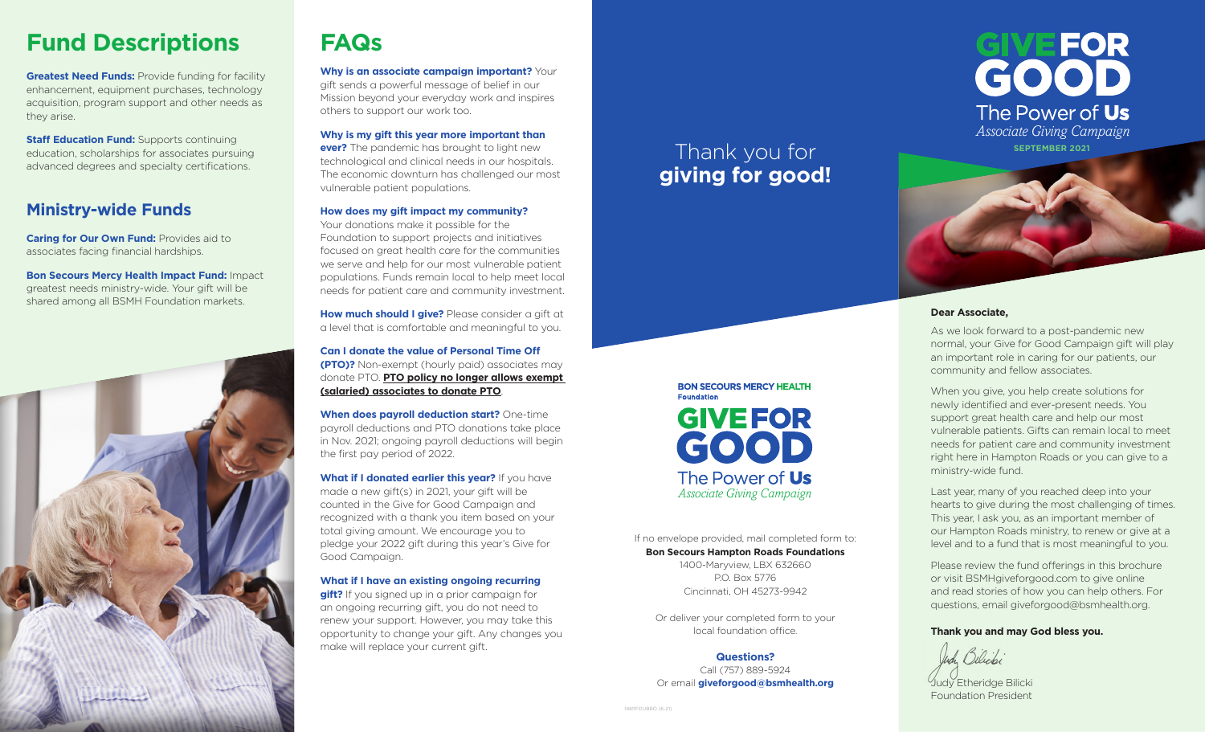## **Fund Descriptions**

**Greatest Need Funds: Provide funding for facility** enhancement, equipment purchases, technology acquisition, program support and other needs as they arise.

**Staff Education Fund: Supports continuing** education, scholarships for associates pursuing advanced degrees and specialty certifications.

#### **Ministry-wide Funds**

**Caring for Our Own Fund:** Provides aid to associates facing financial hardships.

**Bon Secours Mercy Health Impact Fund:** Impact greatest needs ministry-wide. Your gift will be shared among all BSMH Foundation markets.



# **FAQs**

**Why is an associate campaign important?** Your gift sends a powerful message of belief in our Mission beyond your everyday work and inspires others to support our work too.

**Why is my gift this year more important than ever?** The pandemic has brought to light new technological and clinical needs in our hospitals. The economic downturn has challenged our most

#### **How does my gift impact my community?**

vulnerable patient populations.

Your donations make it possible for the Foundation to support projects and initiatives focused on great health care for the communities we serve and help for our most vulnerable patient populations. Funds remain local to help meet local needs for patient care and community investment.

**How much should I give?** Please consider a gift at a level that is comfortable and meaningful to you.

**Can I donate the value of Personal Time Off (PTO)?** Non-exempt (hourly paid) associates may donate PTO. **PTO policy no longer allows exempt (salaried) associates to donate PTO**.

**When does payroll deduction start?** One-time payroll deductions and PTO donations take place in Nov. 2021; ongoing payroll deductions will begin the first pay period of 2022.

**What if I donated earlier this year?** If you have made a new gift(s) in 2021, your gift will be counted in the Give for Good Campaign and recognized with a thank you item based on your total giving amount. We encourage you to pledge your 2022 gift during this year's Give for Good Campaign.

#### **What if I have an existing ongoing recurring**

**gift?** If you signed up in a prior campaign for an ongoing recurring gift, you do not need to renew your support. However, you may take this opportunity to change your gift. Any changes you make will replace your current gift.

## Thank you for **giving for good!**





If no envelope provided, mail completed form to: **Bon Secours Hampton Roads Foundations** 1400-Maryview, LBX 632660

P.O. Box 5776 Cincinnati, OH 45273-9942

Or deliver your completed form to your local foundation office.

#### **Questions?**

Call (757) 889-5924 Or email **giveforgood@bsmhealth.org** **Dear Associate,**

As we look forward to a post-pandemic new normal, your Give for Good Campaign gift will play an important role in caring for our patients, our community and fellow associates.

When you give, you help create solutions for newly identified and ever-present needs. You support great health care and help our most vulnerable patients. Gifts can remain local to meet needs for patient care and community investment right here in Hampton Roads or you can give to a ministry-wide fund.

Last year, many of you reached deep into your hearts to give during the most challenging of times. This year, I ask you, as an important member of our Hampton Roads ministry, to renew or give at a level and to a fund that is most meaningful to you.

Please review the fund offerings in this brochure or visit BSMHgiveforgood.com to give online and read stories of how you can help others. For questions, email giveforgood@bsmhealth.org.

#### **Thank you and may God bless you.**



Judy Etheridge Bilicki Foundation President